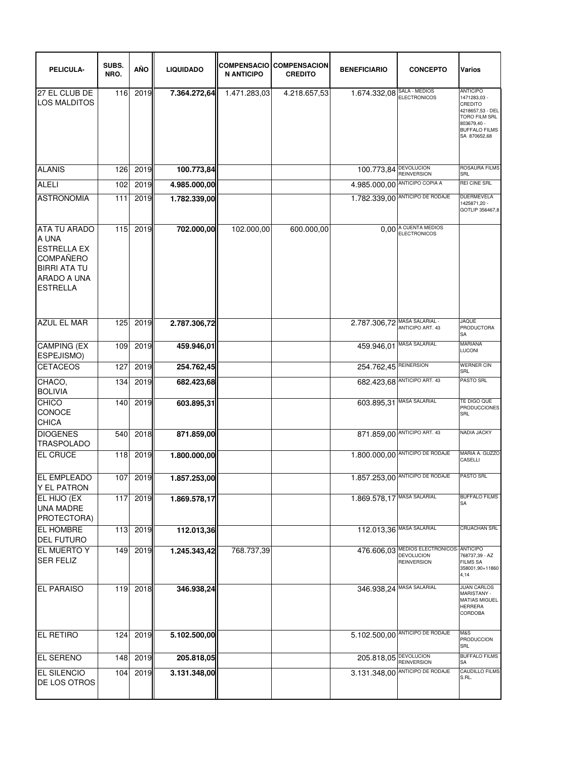| PELICULA-                                                                                                                       | SUBS.<br>NRO. | AÑO  | <b>LIQUIDADO</b> | <b>N ANTICIPO</b> | <b>COMPENSACIO COMPENSACION</b><br><b>CREDITO</b> | <b>BENEFICIARIO</b>           | <b>CONCEPTO</b>                                                                    | Varios                                                                                                                                        |
|---------------------------------------------------------------------------------------------------------------------------------|---------------|------|------------------|-------------------|---------------------------------------------------|-------------------------------|------------------------------------------------------------------------------------|-----------------------------------------------------------------------------------------------------------------------------------------------|
| 27 EL CLUB DE<br><b>LOS MALDITOS</b>                                                                                            | 116           | 2019 | 7.364.272,64     | 1.471.283,03      | 4.218.657,53                                      | $1.674.332,08$ SALA - MEDIOS  |                                                                                    | <b>ANTICIPO</b><br>1471283,03 -<br>CREDITO<br>4218657,53 - DEL<br><b>TORO FILM SRL</b><br>803679,40 -<br><b>BUFFALO FILMS</b><br>SA 870652,68 |
| <b>ALANIS</b>                                                                                                                   | 126           | 2019 | 100.773,84       |                   |                                                   | 100.773,84 DEVOLUCION         |                                                                                    | <b>ROSAURA FILMS</b>                                                                                                                          |
| <b>ALELI</b>                                                                                                                    | 102           | 2019 | 4.985.000,00     |                   |                                                   | 4.985.000,00 ANTICIPO COPIA A | <b>REINVERSION</b>                                                                 | SRL<br><b>REI CINE SRL</b>                                                                                                                    |
| <b>ASTRONOMIA</b>                                                                                                               | 111           | 2019 | 1.782.339,00     |                   |                                                   |                               | 1.782.339,00 ANTICIPO DE RODAJE                                                    | DUERMEVELA<br>1425871,20 -<br>GOTLIP 356467,8                                                                                                 |
| <b>ATA TU ARADO</b><br>A UNA<br><b>ESTRELLA EX</b><br><b>COMPAÑERO</b><br><b>BIRRI ATA TU</b><br>ARADO A UNA<br><b>ESTRELLA</b> | 115           | 2019 | 702.000,00       | 102.000,00        | 600.000,00                                        |                               | 0,00 A CUENTA MEDIOS                                                               |                                                                                                                                               |
| <b>AZUL EL MAR</b>                                                                                                              | 125           | 2019 | 2.787.306,72     |                   |                                                   | 2.787.306,72 MASA SALARIAL -  |                                                                                    | <b>JAQUE</b><br><b>PRODUCTORA</b><br>SA                                                                                                       |
| <b>CAMPING (EX</b><br>ESPEJISMO)                                                                                                | 109           | 2019 | 459.946,01       |                   |                                                   | 459.946,01 MASA SALARIAL      |                                                                                    | <b>MARIANA</b><br>LUCONI                                                                                                                      |
| <b>CETACEOS</b>                                                                                                                 | 127           | 2019 | 254.762,45       |                   |                                                   | 254.762,45 REINERSION         |                                                                                    | <b>WERNER CIN</b><br>SRL                                                                                                                      |
| CHACO,<br><b>BOLIVIA</b>                                                                                                        | 134           | 2019 | 682.423,68       |                   |                                                   |                               | 682.423,68 ANTICIPO ART. 43                                                        | <b>PASTO SRL</b>                                                                                                                              |
| CHICO<br>CONOCE<br><b>CHICA</b>                                                                                                 | 140           | 2019 | 603.895,31       |                   |                                                   | 603.895,31 MASA SALARIAL      |                                                                                    | TE DIGO QUE<br><b>PRODUCCIONES</b><br>SRL                                                                                                     |
| <b>DIOGENES</b><br><b>TRASPOLADO</b>                                                                                            | 540           | 2018 | 871.859,00       |                   |                                                   |                               | 871.859,00 ANTICIPO ART. 43                                                        | NADIA JACKY                                                                                                                                   |
| <b>EL CRUCE</b>                                                                                                                 | 118           | 2019 | 1.800.000,00     |                   |                                                   |                               | $1.800.000,00$ ANTICIPO DE RODAJE                                                  | MARIA A. GUZZO<br>CASELLI                                                                                                                     |
| <b>EL EMPLEADO</b><br><b>Y EL PATRON</b>                                                                                        | 107           | 2019 | 1.857.253.00     |                   |                                                   |                               | 1.857.253,00 ANTICIPO DE RODAJE                                                    | PASTO SRL                                                                                                                                     |
| EL HIJO (EX<br><b>UNA MADRE</b><br>PROTECTORA)                                                                                  | 117           | 2019 | 1.869.578,17     |                   |                                                   | 1.869.578,17 MASA SALARIAL    |                                                                                    | <b>BUFFALO FILMS</b><br><b>SA</b>                                                                                                             |
| <b>EL HOMBRE</b><br><b>DEL FUTURO</b>                                                                                           | 113           | 2019 | 112.013,36       |                   |                                                   | 112.013,36 MASA SALARIAL      |                                                                                    | CRUACHAN SRL                                                                                                                                  |
| <b>EL MUERTO Y</b><br><b>SER FELIZ</b>                                                                                          | 149           | 2019 | 1.245.343,42     | 768.737,39        |                                                   |                               | 476.606,03 MEDIOS ELECTRONICOS ANTICIPO<br><b>DEVOLUCION</b><br><b>REINVERSION</b> | 768737,39 - AZ<br><b>FILMS SA</b><br>358001,90+11860<br>4,14                                                                                  |
| <b>EL PARAISO</b>                                                                                                               | 119           | 2018 | 346.938,24       |                   |                                                   | 346.938,24 MASA SALARIAL      |                                                                                    | <b>JUAN CARLOS</b><br><b>MARISTANY -</b><br><b>MATIAS MIGUEL</b><br><b>HERRERA</b><br>CORDOBA                                                 |
| <b>EL RETIRO</b>                                                                                                                | 124           | 2019 | 5.102.500,00     |                   |                                                   |                               | 5.102.500,00 ANTICIPO DE RODAJE                                                    | M&S<br><b>PRODUCCION</b><br>SRL                                                                                                               |
| <b>EL SERENO</b>                                                                                                                | 148           | 2019 | 205.818,05       |                   |                                                   | 205.818,05 DEVOLUCION         | <b>REINVERSION</b>                                                                 | <b>BUFFALO FILMS</b><br>SA                                                                                                                    |
| <b>EL SILENCIO</b><br>DE LOS OTROS                                                                                              | 104           | 2019 | 3.131.348,00     |                   |                                                   |                               | 3.131.348,00 ANTICIPO DE RODAJE                                                    | CAUDILLO FILMS<br>S.RL.                                                                                                                       |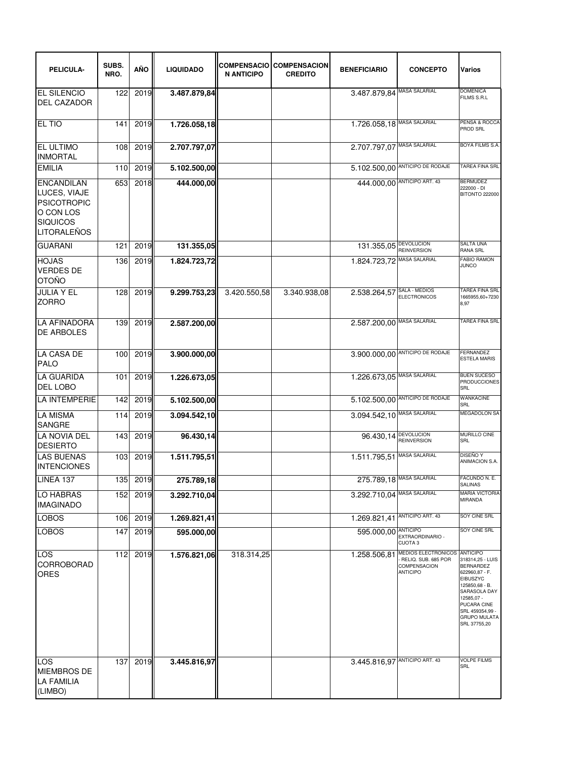| PELICULA-                                                                                                     | SUBS.<br>NRO. | AÑO      | <b>LIQUIDADO</b> | <b>N ANTICIPO</b> | <b>COMPENSACIO COMPENSACION</b><br><b>CREDITO</b> | <b>BENEFICIARIO</b>                        | <b>CONCEPTO</b>                                                                                             | <b>Varios</b>                                                                                                                                                                                                  |
|---------------------------------------------------------------------------------------------------------------|---------------|----------|------------------|-------------------|---------------------------------------------------|--------------------------------------------|-------------------------------------------------------------------------------------------------------------|----------------------------------------------------------------------------------------------------------------------------------------------------------------------------------------------------------------|
| <b>EL SILENCIO</b><br><b>DEL CAZADOR</b>                                                                      | 122           | 2019     | 3.487.879,84     |                   |                                                   | 3.487.879,84 MASA SALARIAL                 |                                                                                                             | <b>DOMENICA</b><br>FILMS S.R.L                                                                                                                                                                                 |
| EL TIO                                                                                                        | 141           | 2019     | 1.726.058,18     |                   |                                                   | 1.726.058,18 MASA SALARIAL                 |                                                                                                             | PENSA & ROCCA<br>PROD SRL                                                                                                                                                                                      |
| EL ULTIMO<br><b>INMORTAL</b>                                                                                  | 108           | 2019     | 2.707.797,07     |                   |                                                   | 2.707.797,07                               | <b>MASA SALARIAL</b>                                                                                        | BOYA FILMS S.A.                                                                                                                                                                                                |
| <b>EMILIA</b>                                                                                                 | 110           | 2019     | 5.102.500,00     |                   |                                                   |                                            | 5.102.500,00 ANTICIPO DE RODAJE                                                                             | <b>TAREA FINA SRL</b>                                                                                                                                                                                          |
| <b>ENCANDILAN</b><br>LUCES, VIAJE<br><b>PSICOTROPIC</b><br>O CON LOS<br><b>SIQUICOS</b><br><b>LITORALEÑOS</b> | 653           | 2018     | 444.000,00       |                   |                                                   |                                            | 444.000,00 ANTICIPO ART. 43                                                                                 | <b>BERMUDEZ</b><br>222000 - DI<br><b>BITONTO 222000</b>                                                                                                                                                        |
| <b>GUARANI</b>                                                                                                | 121           | 2019     | 131.355,05       |                   |                                                   | 131.355,05 DEVOLUCION                      |                                                                                                             | <b>SALTA UNA</b><br><b>RANA SRL</b>                                                                                                                                                                            |
| <b>HOJAS</b><br><b>VERDES DE</b><br><b>OTOÑO</b>                                                              | 136           | 2019     | 1.824.723,72     |                   |                                                   | 1.824.723,72                               | <b>MASA SALARIAL</b>                                                                                        | <b>FABIO RAMON</b><br><b>JUNCO</b>                                                                                                                                                                             |
| <b>JULIA Y EL</b><br><b>ZORRO</b>                                                                             | 128           | 2019     | 9.299.753,23     | 3.420.550,58      | 3.340.938,08                                      | 2.538.264,57                               | SALA - MEDIOS<br>ELECTRONICOS                                                                               | TAREA FINA SRL<br>1665955,60+7230<br>8,97                                                                                                                                                                      |
| <b>LA AFINADORA</b><br><b>DE ARBOLES</b>                                                                      | 139           | 2019     | 2.587.200,00     |                   |                                                   | 2.587.200,00 MASA SALARIAL                 |                                                                                                             | <b>TAREA FINA SRL</b>                                                                                                                                                                                          |
| <b>LA CASA DE</b><br><b>PALO</b>                                                                              | 100           | 2019     | 3.900.000,00     |                   |                                                   |                                            | 3.900.000,00 ANTICIPO DE RODAJE                                                                             | FERNANDEZ<br><b>ESTELA MARIS</b>                                                                                                                                                                               |
| <b>LA GUARIDA</b><br>DEL LOBO                                                                                 | 101           | 2019     | 1.226.673,05     |                   |                                                   | 1.226.673,05 MASA SALARIAL                 |                                                                                                             | <b>BUEN SUCESO</b><br><b>PRODUCCIONES</b><br>SRL                                                                                                                                                               |
| <b>LA INTEMPERIE</b>                                                                                          | 142           | 2019     | 5.102.500,00     |                   |                                                   | 5.102.500,00                               | ANTICIPO DE RODAJE                                                                                          | <b>WANKACINE</b><br>SRL                                                                                                                                                                                        |
| <b>LA MISMA</b><br><b>SANGRE</b>                                                                              | 114           | 2019     | 3.094.542,10     |                   |                                                   | 3.094.542,10 MASA SALARIAL                 |                                                                                                             | MEGADOLON SA                                                                                                                                                                                                   |
| LA NOVIA DEL<br><b>DESIERTO</b>                                                                               | 143           | 2019     | 96.430,14        |                   |                                                   | 96.430,14 <b>DEVOLUCION</b><br>REINVERSION |                                                                                                             | MURILLO CINE<br>SRL                                                                                                                                                                                            |
| <b>LAS BUENAS</b><br><b>INTENCIONES</b>                                                                       | 103           | 2019     | 1.511.795,51     |                   |                                                   | 1.511.795,51 MASA SALARIAL                 |                                                                                                             | <b>DISEÑO Y</b><br>ANIMACION S.A.                                                                                                                                                                              |
| LINEA 137                                                                                                     |               | 135 2019 | 275.789,18       |                   |                                                   | 275.789,18 MASA SALARIAL                   |                                                                                                             | FACUNDO N. E.<br>SALINAS                                                                                                                                                                                       |
| LO HABRAS<br><b>IMAGINADO</b>                                                                                 | 152           | 2019     | 3.292.710,04     |                   |                                                   | 3.292.710,04 MASA SALARIAL                 |                                                                                                             | <b>MARIA VICTORIA</b><br><b>MIRANDA</b>                                                                                                                                                                        |
| <b>LOBOS</b>                                                                                                  | 106           | 2019     | 1.269.821,41     |                   |                                                   | 1.269.821,41 ANTICIPO ART. 43              |                                                                                                             | SOY CINE SRL                                                                                                                                                                                                   |
| <b>LOBOS</b>                                                                                                  | 147           | 2019     | 595.000,00       |                   |                                                   | 595.000,00 ANTICIPO                        | EXTRAORDINARIO -                                                                                            | SOY CINE SRL                                                                                                                                                                                                   |
| LOS<br>CORROBORAD<br>ORES                                                                                     | 112           | 2019     | 1.576.821,06     | 318.314,25        |                                                   |                                            | <b>CUOTA3</b><br>1.258.506,81 MEDIOS ELECTRONICOS<br>RELIQ. SUB. 685 POR<br>COMPENSACION<br><b>ANTICIPO</b> | <b>ANTICIPO</b><br>318314,25 - LUIS<br><b>BERNARDEZ</b><br>622960,87 - F.<br>EIBUSZYC<br>125850,68 - B.<br>SARASOLA DAY<br>12585,07 -<br>PUCARA CINE<br>SRL 459354,99 -<br><b>GRUPO MULATA</b><br>SRL 37755,20 |
| LOS<br><b>MIEMBROS DE</b><br><b>LA FAMILIA</b><br>(LIMBO)                                                     | 137           | 2019     | 3.445.816,97     |                   |                                                   | 3.445.816,97 ANTICIPO ART. 43              |                                                                                                             | <b>VOLPE FILMS</b><br><b>SRL</b>                                                                                                                                                                               |